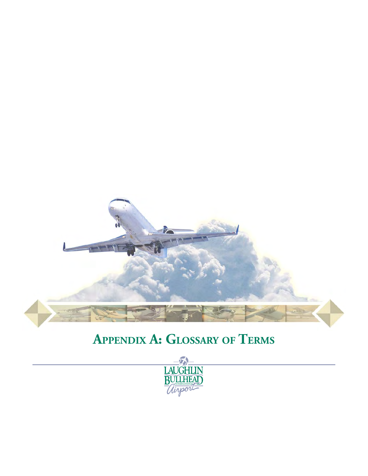

## **APPENDIX A: GLOSSARY OF TERMS**

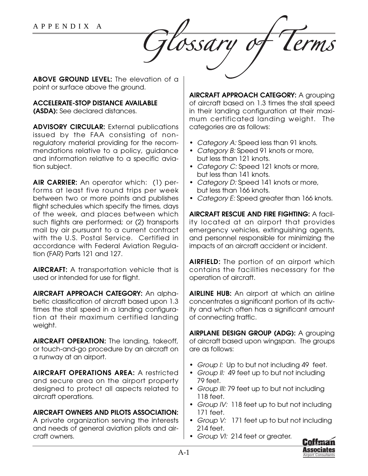ossar

**ABOVE GROUND LEVEL:** The elevation of a point or surface above the ground.

## **ACCELERATE-STOP DISTANCE AVAILABLE**

**(ASDA):** See declared distances.

**ADVISORY CIRCULAR:** External publications issued by the FAA consisting of nonregulatory material providing for the recommendations relative to a policy, guidance and information relative to a specific aviation subject.

**AIR CARRIER:** An operator which: (1) performs at least five round trips per week between two or more points and publishes flight schedules which specify the times, days of the week, and places between which such flights are performed; or (2) transports mail by air pursuant to a current contract with the U.S. Postal Service. Certified in accordance with Federal Aviation Regulation (FAR) Parts 121 and 127.

**AIRCRAFT:** A transportation vehicle that is used or intended for use for flight.

**AIRCRAFT APPROACH CATEGORY:** An alphabetic classification of aircraft based upon 1.3 times the stall speed in a landing configuration at their maximum certified landing weight.

**AIRCRAFT OPERATION:** The landing, takeoff, or touch-and-go procedure by an aircraft on a runway at an airport.

**AIRCRAFT OPERATIONS AREA:** A restricted and secure area on the airport property designed to protect all aspects related to aircraft operations.

## **AIRCRAFT OWNERS AND PILOTS ASSOCIATION:**

A private organization serving the interests and needs of general aviation pilots and aircraft owners.

**AIRCRAFT APPROACH CATEGORY:** A grouping of aircraft based on 1.3 times the stall speed in their landing configuration at their maximum certificated landing weight. The categories are as follows:

- Category A: Speed less than 91 knots.
- Category B: Speed 91 knots or more, but less than 121 knots.
- Category C: Speed 121 knots or more, but less than 141 knots.
- Category D: Speed 141 knots or more, but less than 166 knots.
- Category E: Speed greater than 166 knots.

**AIRCRAFT RESCUE AND FIRE FIGHTING:** A facility located at an airport that provides emergency vehicles, extinguishing agents, and personnel responsible for minimizing the impacts of an aircraft accident or incident.

**AIRFIELD:** The portion of an airport which contains the facilities necessary for the operation of aircraft.

**AIRLINE HUB:** An airport at which an airline concentrates a significant portion of its activity and which often has a significant amount of connecting traffic.

**AIRPLANE DESIGN GROUP (ADG):** A grouping of aircraft based upon wingspan. The groups are as follows:

- Group I: Up to but not including 49 feet.
- Group II: 49 feet up to but not including 79 feet.
- Group III: 79 feet up to but not including 118 feet.
- Group IV: 118 feet up to but not including 171 feet.
- Group V: 171 feet up to but not including 214 feet.
- Group VI: 214 feet or greater.

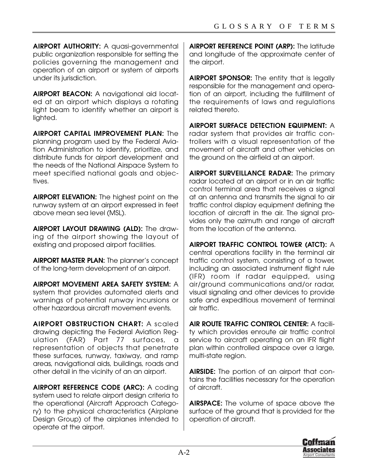**AIRPORT AUTHORITY:** A quasi-governmental public organization responsible for setting the policies governing the management and operation of an airport or system of airports under its jurisdiction.

**AIRPORT BEACON:** A navigational aid located at an airport which displays a rotating light beam to identify whether an airport is lighted.

**AIRPORT CAPITAL IMPROVEMENT PLAN:** The planning program used by the Federal Aviation Administration to identify, prioritize, and distribute funds for airport development and the needs of the National Airspace System to meet specified national goals and objectives.

**AIRPORT ELEVATION:** The highest point on the runway system at an airport expressed in feet above mean sea level (MSL).

**AIRPORT LAYOUT DRAWING (ALD):** The drawing of the airport showing the layout of existing and proposed airport facilities.

**AIRPORT MASTER PLAN:** The planner's concept of the long-term development of an airport.

**AIRPORT MOVEMENT AREA SAFETY SYSTEM:** A system that provides automated alerts and warnings of potential runway incursions or other hazardous aircraft movement events.

**AIRPORT OBSTRUCTION CHART:** A scaled drawing depicting the Federal Aviation Regulation (FAR) Part 77 surfaces, a representation of objects that penetrate these surfaces, runway, taxiway, and ramp areas, navigational aids, buildings, roads and other detail in the vicinity of an an airport.

**AIRPORT REFERENCE CODE (ARC):** A coding system used to relate airport design criteria to the operational (Aircraft Approach Category) to the physical characteristics (Airplane Design Group) of the airplanes intended to operate at the airport.

**AIRPORT REFERENCE POINT (ARP):** The latitude and longitude of the approximate center of the airport.

**AIRPORT SPONSOR:** The entity that is legally responsible for the management and operation of an airport, including the fulfillment of the requirements of laws and regulations related thereto.

**AIRPORT SURFACE DETECTION EQUIPMENT:** A radar system that provides air traffic controllers with a visual representation of the movement of aircraft and other vehicles on the ground on the airfield at an airport.

**AIRPORT SURVEILLANCE RADAR:** The primary radar located at an airport or in an air traffic control terminal area that receives a signal at an antenna and transmits the signal to air traffic control display equipment defining the location of aircraft in the air. The signal provides only the azimuth and range of aircraft from the location of the antenna.

**AIRPORT TRAFFIC CONTROL TOWER (ATCT):** A central operations facility in the terminal air traffic control system, consisting of a tower, including an associated instrument flight rule (IFR) room if radar equipped, using air/ground communications and/or radar, visual signaling and other devices to provide safe and expeditious movement of terminal air traffic.

**AIR ROUTE TRAFFIC CONTROL CENTER:** A facility which provides enroute air traffic control service to aircraft operating on an IFR flight plan within controlled airspace over a large, multi-state region.

**AIRSIDE:** The portion of an airport that contains the facilities necessary for the operation of aircraft.

**AIRSPACE:** The volume of space above the surface of the ground that is provided for the operation of aircraft.

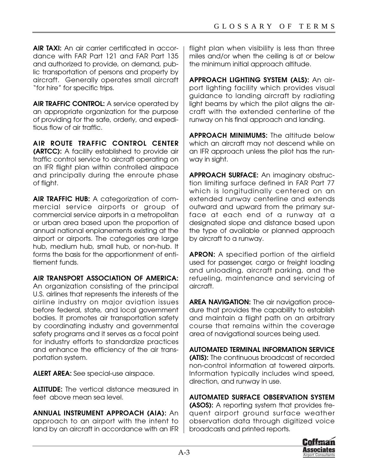**AIR TAXI:** An air carrier certificated in accordance with FAR Part 121 and FAR Part 135 and authorized to provide, on demand, public transportation of persons and property by aircraft. Generally operates small aircraft "for hire" for specific trips.

**AIR TRAFFIC CONTROL:** A service operated by an appropriate organization for the purpose of providing for the safe, orderly, and expeditious flow of air traffic.

**AIR ROUTE TRAFFIC CONTROL CENTER (ARTCC):** A facility established to provide air traffic control service to aircraft operating on an IFR flight plan within controlled airspace and principally during the enroute phase of flight.

**AIR TRAFFIC HUB:** A categorization of commercial service airports or group of commercial service airports in a metropolitan or urban area based upon the proportion of annual national enplanements existing at the airport or airports. The categories are large hub, medium hub, small hub, or non-hub. It forms the basis for the apportionment of entitlement funds.

**AIR TRANSPORT ASSOCIATION OF AMERICA:**

An organization consisting of the principal U.S. airlines that represents the interests of the airline industry on major aviation issues before federal, state, and local government bodies. It promotes air transportation safety by coordinating industry and governmental safety programs and it serves as a focal point for industry efforts to standardize practices and enhance the efficiency of the air transportation system.

**ALERT AREA:** See special-use airspace.

**ALTITUDE:** The vertical distance measured in feet above mean sea level.

**ANNUAL INSTRUMENT APPROACH (AIA):** An approach to an airport with the intent to land by an aircraft in accordance with an IFR

flight plan when visibility is less than three miles and/or when the ceiling is at or below the minimum initial approach altitude.

**APPROACH LIGHTING SYSTEM (ALS):** An airport lighting facility which provides visual guidance to landing aircraft by radiating light beams by which the pilot aligns the aircraft with the extended centerline of the runway on his final approach and landing.

**APPROACH MINIMUMS:** The altitude below which an aircraft may not descend while on an IFR approach unless the pilot has the runway in sight.

**APPROACH SURFACE:** An imaginary obstruction limiting surface defined in FAR Part 77 which is longitudinally centered on an extended runway centerline and extends outward and upward from the primary surface at each end of a runway at a designated slope and distance based upon the type of available or planned approach by aircraft to a runway.

**APRON:** A specified portion of the airfield used for passenger, cargo or freight loading and unloading, aircraft parking, and the refueling, maintenance and servicing of aircraft.

**AREA NAVIGATION:** The air navigation procedure that provides the capability to establish and maintain a flight path on an arbitrary course that remains within the coverage area of navigational sources being used.

**AUTOMATED TERMINAL INFORMATION SERVICE (ATIS):** The continuous broadcast of recorded non-control information at towered airports. Information typically includes wind speed, direction, and runway in use.

**AUTOMATED SURFACE OBSERVATION SYSTEM (ASOS):** A reporting system that provides frequent airport ground surface weather observation data through digitized voice broadcasts and printed reports.

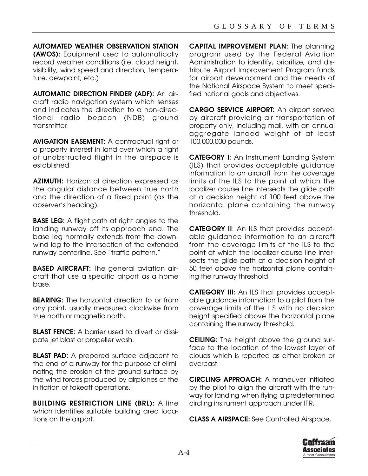**AUTOMATED WEATHER OBSERVATION STATION (AWOS):** Equipment used to automatically record weather conditions (i.e. cloud height, visibility, wind speed and direction, temperature, dewpoint, etc.)

**AUTOMATIC DIRECTION FINDER (ADF):** An aircraft radio navigation system which senses and indicates the direction to a non-directional radio beacon (NDB) ground transmitter.

**AVIGATION EASEMENT:** A contractual right or a property interest in land over which a right of unobstructed flight in the airspace is established.

**AZIMUTH:** Horizontal direction expressed as the angular distance between true north and the direction of a fixed point (as the observer's heading).

**BASE LEG:** A flight path at right angles to the landing runway off its approach end. The base leg normally extends from the downwind leg to the intersection of the extended runway centerline. See "traffic pattern."

**BASED AIRCRAFT:** The general aviation aircraft that use a specific airport as a home base.

**BEARING:** The horizontal direction to or from any point, usually measured clockwise from true north or magnetic north.

**BLAST FENCE:** A barrier used to divert or dissipate jet blast or propeller wash.

**BLAST PAD:** A prepared surface adjacent to the end of a runway for the purpose of eliminating the erosion of the ground surface by the wind forces produced by airplanes at the initiation of takeoff operations.

**BUILDING RESTRICTION LINE (BRL):** A line which identifies suitable building area locations on the airport.

**CAPITAL IMPROVEMENT PLAN:** The planning program used by the Federal Aviation Administration to identify, prioritize, and distribute Airport Improvement Program funds for airport development and the needs of the National Airspace System to meet specified national goals and objectives.

**CARGO SERVICE AIRPORT:** An airport served by aircraft providing air transportation of property only, including mail, with an annual aggregate landed weight of at least 100,000,000 pounds.

**CATEGORY I**: An Instrument Landing System (ILS) that provides acceptable guidance information to an aircraft from the coverage limits of the ILS to the point at which the localizer course line intersects the glide path at a decision height of 100 feet above the horizontal plane containing the runway threshold.

**CATEGORY II**: An ILS that provides acceptable guidance information to an aircraft from the coverage limits of the ILS to the point at which the localizer course line intersects the glide path at a decision height of 50 feet above the horizontal plane containing the runway threshold.

**CATEGORY III:** An ILS that provides acceptable guidance information to a pilot from the coverage limits of the ILS with no decision height specified above the horizontal plane containing the runway threshold.

**CEILING:** The height above the ground surface to the location of the lowest layer of clouds which is reported as either broken or overcast.

**CIRCLING APPROACH:** A maneuver initiated by the pilot to align the aircraft with the runway for landing when flying a predetermined circling instrument approach under IFR.

**CLASS A AIRSPACE:** See Controlled Airspace.

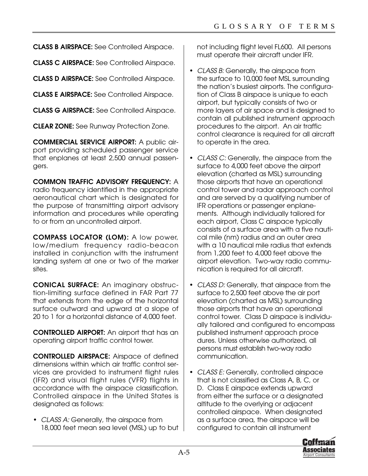**CLASS B AIRSPACE:** See Controlled Airspace.

**CLASS C AIRSPACE:** See Controlled Airspace.

**CLASS D AIRSPACE:** See Controlled Airspace.

**CLASS E AIRSPACE:** See Controlled Airspace.

**CLASS G AIRSPACE:** See Controlled Airspace.

**CLEAR ZONE:** See Runway Protection Zone.

**COMMERCIAL SERVICE AIRPORT:** A public airport providing scheduled passenger service that enplanes at least 2,500 annual passengers.

**COMMON TRAFFIC ADVISORY FREQUENCY:** A radio frequency identified in the appropriate aeronautical chart which is designated for the purpose of transmitting airport advisory information and procedures while operating to or from an uncontrolled airport.

**COMPASS LOCATOR (LOM):** A low power, low/medium frequency radio-beacon installed in conjunction with the instrument landing system at one or two of the marker sites.

**CONICAL SURFACE:** An imaginary obstruction-limiting surface defined in FAR Part 77 that extends from the edge of the horizontal surface outward and upward at a slope of 20 to 1 for a horizontal distance of 4,000 feet.

**CONTROLLED AIRPORT:** An airport that has an operating airport traffic control tower.

**CONTROLLED AIRSPACE:** Airspace of defined dimensions within which air traffic control services are provided to instrument flight rules (IFR) and visual flight rules (VFR) flights in accordance with the airspace classification. Controlled airspace in the United States is designated as follows:

• CLASS A: Generally, the airspace from 18,000 feet mean sea level (MSL) up to but not including flight level FL600. All persons must operate their aircraft under IFR.

- CLASS B: Generally, the airspace from the surface to 10,000 feet MSL surrounding the nation's busiest airports. The configuration of Class B airspace is unique to each airport, but typically consists of two or more layers of air space and is designed to contain all published instrument approach procedures to the airport. An air traffic control clearance is required for all aircraft to operate in the area.
- CLASS C: Generally, the airspace from the surface to 4,000 feet above the airport elevation (charted as MSL) surrounding those airports that have an operational control tower and radar approach control and are served by a qualifying number of IFR operations or passenger enplanements. Although individually tailored for each airport, Class C airspace typically consists of a surface area with a five nautical mile (nm) radius and an outer area with a 10 nautical mile radius that extends from 1,200 feet to 4,000 feet above the airport elevation. Two-way radio communication is required for all aircraft.
- CLASS D: Generally, that airspace from the surface to 2,500 feet above the air port elevation (charted as MSL) surrounding those airports that have an operational control tower. Class D airspace is individually tailored and configured to encompass published instrument approach proce dures. Unless otherwise authorized, all persons must establish two-way radio communication.
- CLASS E: Generally, controlled airspace that is not classified as Class A, B, C, or D. Class E airspace extends upward from either the surface or a designated altitude to the overlying or adjacent controlled airspace. When designated as a surface area, the airspace will be configured to contain all instrument

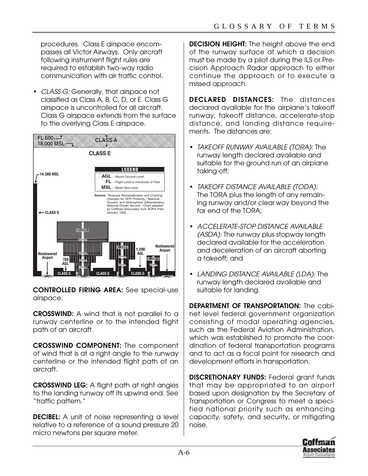procedures. Class E airspace encompasses all Victor Airways. Only aircraft following instrument flight rules are required to establish two-way radio communication with air traffic control.

• CLASS G: Generally, that airspace not classified as Class A, B, C, D, or E. Class G airspace is uncontrolled for all aircraft. Class G airspace extends from the surface to the overlying Class E airspace.



**CONTROLLED FIRING AREA:** See special-use airspace.

**CROSSWIND:** A wind that is not parallel to a runway centerline or to the intended flight path of an aircraft.

**CROSSWIND COMPONENT:** The component of wind that is at a right angle to the runway centerline or the intended flight path of an aircraft.

**CROSSWIND LEG:** A flight path at right angles to the landing runway off its upwind end. See "traffic pattern."

**DECIBEL:** A unit of noise representing a level relative to a reference of a sound pressure 20 micro newtons per square meter.

**DECISION HEIGHT:** The height above the end of the runway surface at which a decision must be made by a pilot during the ILS or Precision Approach Radar approach to either continue the approach or to execute a missed approach.

**DECLARED DISTANCES:** The distances declared available for the airplane's takeoff runway, takeoff distance, accelerate-stop distance, and landing distance requirements. The distances are:

- TAKEOFF RUNWAY AVAILABLE (TORA): The runway length declared available and suitable for the ground run of an airplane taking off;
- TAKEOFF DISTANCE AVAILABLE (TODA): The TORA plus the length of any remaining runway and/or clear way beyond the far end of the TORA;
- ACCELERATE-STOP DISTANCE AVAILABLE (ASDA): The runway plus stopway length declared available for the acceleration and deceleration of an aircraft aborting a takeoff; and
- LANDING DISTANCE AVAILABLE (LDA): The runway length declared available and suitable for landing.

**DEPARTMENT OF TRANSPORTATION:** The cabinet level federal government organization consisting of modal operating agencies, such as the Federal Aviation Administration, which was established to promote the coordination of federal transportation programs and to act as a focal point for research and development efforts in transportation.

**DISCRETIONARY FUNDS:** Federal grant funds that may be appropriated to an airport based upon designation by the Secretary of Transportation or Congress to meet a specified national priority such as enhancing capacity, safety, and security, or mitigating noise.

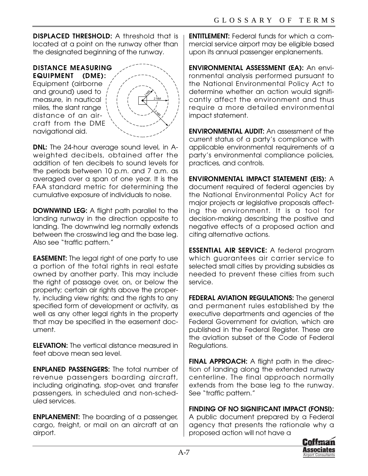**DISPLACED THRESHOLD:** A threshold that is located at a point on the runway other than the designated beginning of the runway.

**DISTANCE MEASURING EQUIPMENT (DME):** Equipment (airborne

and ground) used to measure, in nautical miles, the slant range distance of an aircraft from the DME navigational aid.



**DNL:** The 24-hour average sound level, in Aweighted decibels, obtained after the addition of ten decibels to sound levels for the periods between 10 p.m. and 7 a.m. as averaged over a span of one year. It is the FAA standard metric for determining the cumulative exposure of individuals to noise.

**DOWNWIND LEG:** A flight path parallel to the landing runway in the direction opposite to landing. The downwind leg normally extends between the crosswind leg and the base leg. Also see "traffic pattern."

**EASEMENT:** The legal right of one party to use a portion of the total rights in real estate owned by another party. This may include the right of passage over, on, or below the property; certain air rights above the property, including view rights; and the rights to any specified form of development or activity, as well as any other legal rights in the property that may be specified in the easement document.

**ELEVATION:** The vertical distance measured in feet above mean sea level.

**ENPLANED PASSENGERS:** The total number of revenue passengers boarding aircraft, including originating, stop-over, and transfer passengers, in scheduled and non-scheduled services.

**ENPLANEMENT:** The boarding of a passenger, cargo, freight, or mail on an aircraft at an airport.

**ENTITLEMENT:** Federal funds for which a commercial service airport may be eligible based upon its annual passenger enplanements.

**ENVIRONMENTAL ASSESSMENT (EA):** An environmental analysis performed pursuant to the National Environmental Policy Act to determine whether an action would significantly affect the environment and thus require a more detailed environmental impact statement.

**ENVIRONMENTAL AUDIT:** An assessment of the current status of a party's compliance with applicable environmental requirements of a party's environmental compliance policies, practices, and controls.

**ENVIRONMENTAL IMPACT STATEMENT (EIS):** A document required of federal agencies by the National Environmental Policy Act for major projects ar legislative proposals affecting the environment. It is a tool for decision-making describing the positive and negative effects of a proposed action and citing alternative actions.

**ESSENTIAL AIR SERVICE:** A federal program which guarantees air carrier service to selected small cities by providing subsidies as needed to prevent these cities from such service.

**FEDERAL AVIATION REGULATIONS:** The general and permanent rules established by the executive departments and agencies of the Federal Government for aviation, which are published in the Federal Register. These are the aviation subset of the Code of Federal Regulations.

**FINAL APPROACH:** A flight path in the direction of landing along the extended runway centerline. The final approach normally extends from the base leg to the runway. See "traffic pattern."

**FINDING OF NO SIGNIFICANT IMPACT (FONSI):** A public document prepared by a Federal agency that presents the rationale why a proposed action will not have a

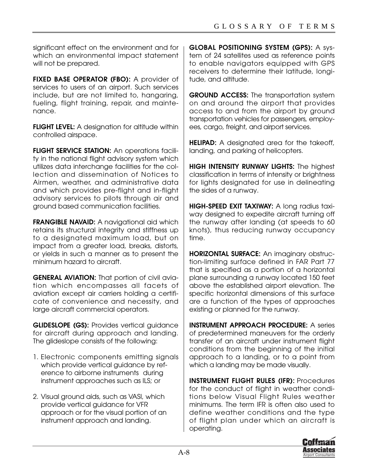significant effect on the environment and for which an environmental impact statement will not be prepared.

**FIXED BASE OPERATOR (FBO):** A provider of services to users of an airport. Such services include, but are not limited to, hangaring, fueling, flight training, repair, and maintenance.

**FLIGHT LEVEL:** A designation for altitude within controlled airspace.

**FLIGHT SERVICE STATION:** An operations facility in the national flight advisory system which utilizes data interchange facilities for the collection and dissemination of Notices to Airmen, weather, and administrative data and which provides pre-flight and in-flight advisory services to pilots through air and ground based communication facilities.

**FRANGIBLE NAVAID:** A navigational aid which retains its structural integrity and stiffness up to a designated maximum load, but on impact from a greater load, breaks, distorts, or yields in such a manner as to present the minimum hazard to aircraft.

**GENERAL AVIATION:** That portion of civil aviation which encompasses all facets of aviation except air carriers holding a certificate of convenience and necessity, and large aircraft commercial operators.

**GLIDESLOPE (GS):** Provides vertical guidance for aircraft during approach and landing. The glideslope consists of the following:

- 1. Electronic components emitting signals which provide vertical quidance by reference to airborne instruments during instrument approaches such as ILS; or
- 2. Visual ground aids, such as VASI, which provide vertical guidance for VFR approach or for the visual portion of an instrument approach and landing.

**GLOBAL POSITIONING SYSTEM (GPS):** A system of 24 satellites used as reference points to enable navigators equipped with GPS receivers to determine their latitude, longitude, and altitude.

**GROUND ACCESS:** The transportation system on and around the airport that provides access to and from the airport by ground transportation vehicles for passengers, employees, cargo, freight, and airport services.

**HELIPAD:** A designated area for the takeoff, landing, and parking of helicopters.

**HIGH INTENSITY RUNWAY LIGHTS:** The highest classification in terms of intensity or brightness for lights designated for use in delineating the sides of a runway.

**HIGH-SPEED EXIT TAXIWAY:** A long radius taxiway designed to expedite aircraft turning off the runway after landing (at speeds to 60 knots), thus reducing runway occupancy time.

**HORIZONTAL SURFACE:** An imaginary obstruction-limiting surface defined in FAR Part 77 that is specified as a portion of a horizontal plane surrounding a runway located 150 feet above the established airport elevation. The specific horizontal dimensions of this surface are a function of the types of approaches existing or planned for the runway.

**INSTRUMENT APPROACH PROCEDURE:** A series of predetermined maneuvers for the orderly transfer of an aircraft under instrument flight conditions from the beginning of the initial approach to a landing, or to a point from which a landing may be made visually.

**INSTRUMENT FLIGHT RULES (IFR):** Procedures for the conduct of flight in weather conditions below Visual Flight Rules weather minimums. The term IFR is often also used to define weather conditions and the type of flight plan under which an aircraft is operating.

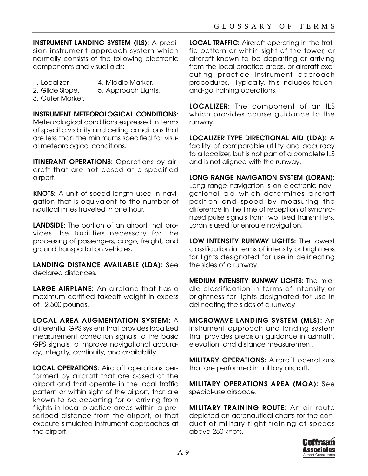**INSTRUMENT LANDING SYSTEM (ILS):** A precision instrument approach system which normally consists of the following electronic components and visual aids:

- 
- 1. Localizer. 4. Middle Marker.
- 2. Glide Slope. 5. Approach Lights.
- 
- 3. Outer Marker.

**INSTRUMENT METEOROLOGICAL CONDITIONS:**

Meteorological conditions expressed in terms of specific visibility and ceiling conditions that are less than the minimums specified for visual meteorological conditions.

**ITINERANT OPERATIONS:** Operations by aircraft that are not based at a specified airport.

**KNOTS:** A unit of speed length used in navigation that is equivalent to the number of nautical miles traveled in one hour.

**LANDSIDE:** The portion of an airport that provides the facilities necessary for the processing of passengers, cargo, freight, and ground transportation vehicles.

**LANDING DISTANCE AVAILABLE (LDA):** See declared distances.

**LARGE AIRPLANE:** An airplane that has a maximum certified takeoff weight in excess of 12,500 pounds.

**LOCAL AREA AUGMENTATION SYSTEM:** A differential GPS system that provides localized measurement correction signals to the basic GPS signals to improve navigational accuracy, integrity, continuity, and availability.

**LOCAL OPERATIONS:** Aircraft operations performed by aircraft that are based at the airport and that operate in the local traffic pattern or within sight of the airport, that are known to be departing for or arriving from flights in local practice areas within a prescribed distance from the airport, or that execute simulated instrument approaches at the airport.

**LOCAL TRAFFIC:** Aircraft operating in the traffic pattern or within sight of the tower, or aircraft known to be departing or arriving from the local practice areas, or aircraft executing practice instrument approach procedures. Typically, this includes touchand-go training operations.

**LOCALIZER:** The component of an ILS which provides course guidance to the runway.

**LOCALIZER TYPE DIRECTIONAL AID (LDA):** A facility of comparable utility and accuracy to a localizer, but is not part of a complete ILS and is not aligned with the runway.

**LONG RANGE NAVIGATION SYSTEM (LORAN):** Long range navigation is an electronic navigational aid which determines aircraft position and speed by measuring the difference in the time of reception of synchronized pulse signals from two fixed transmitters. Loran is used for enroute navigation.

**LOW INTENSITY RUNWAY LIGHTS:** The lowest classification in terms of intensity or brightness for lights designated for use in delineating the sides of a runway.

**MEDIUM INTENSITY RUNWAY LIGHTS:** The middle classification in terms of intensity or brightness for lights designated for use in delineating the sides of a runway.

**MICROWAVE LANDING SYSTEM (MLS):** An instrument approach and landing system that provides precision guidance in azimuth, elevation, and distance measurement.

**MILITARY OPERATIONS:** Aircraft operations that are performed in military aircraft.

**MILITARY OPERATIONS AREA (MOA):** See special-use airspace.

**MILITARY TRAINING ROUTE:** An air route depicted on aeronautical charts for the conduct of military flight training at speeds above 250 knots.

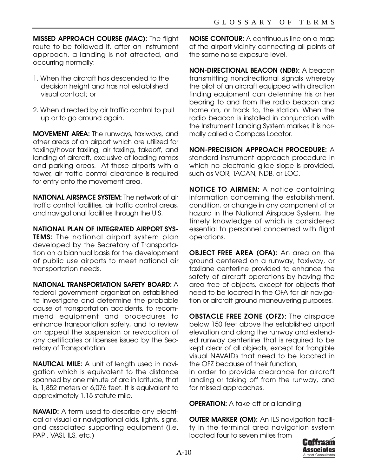**MISSED APPROACH COURSE (MAC):** The flight route to be followed if, after an instrument approach, a landing is not affected, and occurring normally:

- 1. When the aircraft has descended to the decision height and has not established visual contact; or
- 2. When directed by air traffic control to pull up or to go around again.

**MOVEMENT AREA:** The runways, taxiways, and other areas of an airport which are utilized for taxiing/hover taxiing, air taxiing, takeoff, and landing of aircraft, exclusive of loading ramps and parking areas. At those airports with a tower, air traffic control clearance is required for entry onto the movement area.

**NATIONAL AIRSPACE SYSTEM:** The network of air traffic control facilities, air traffic control areas, and navigational facilities through the U.S.

**NATIONAL PLAN OF INTEGRATED AIRPORT SYS-TEMS:** The national airport system plan developed by the Secretary of Transportation on a biannual basis for the development of public use airports to meet national air transportation needs.

**NATIONAL TRANSPORTATION SAFETY BOARD:** A federal government organization established to investigate and determine the probable cause of transportation accidents, to recommend equipment and procedures to enhance transportation safety, and to review on appeal the suspension or revocation of any certificates or licenses issued by the Secretary of Transportation.

**NAUTICAL MILE:** A unit of length used in navigation which is equivalent to the distance spanned by one minute of arc in latitude, that is, 1,852 meters or 6,076 feet. It is equivalent to approximately 1.15 statute mile.

**NAVAID:** A term used to describe any electrical or visual air navigational aids, lights, signs, and associated supporting equipment (i.e. PAPI, VASI, ILS, etc.)

**NOISE CONTOUR:** A continuous line on a map of the airport vicinity connecting all points of the same noise exposure level.

**NON-DIRECTIONAL BEACON (NDB):** A beacon transmitting nondirectional signals whereby the pilot of an aircraft equipped with direction finding equipment can determine his or her bearing to and from the radio beacon and home on, or track to, the station. When the radio beacon is installed in conjunction with the Instrument Landing System marker, it is normally called a Compass Locator.

**NON-PRECISION APPROACH PROCEDURE:** A standard instrument approach procedure in which no electronic glide slope is provided, such as VOR, TACAN, NDB, or LOC.

**NOTICE TO AIRMEN:** A notice containing information concerning the establishment, condition, or change in any component of or hazard in the National Airspace System, the timely knowledge of which is considered essential to personnel concerned with flight operations.

**OBJECT FREE AREA (OFA):** An area on the ground centered on a runway, taxiway, or taxilane centerline provided to enhance the safety of aircraft operations by having the area free of objects, except for objects that need to be located in the OFA for air navigation or aircraft ground maneuvering purposes.

**OBSTACLE FREE ZONE (OFZ):** The airspace below 150 feet above the established airport elevation and along the runway and extended runway centerline that is required to be kept clear of all objects, except for frangible visual NAVAIDs that need to be located in the OFZ because of their function,

in order to provide clearance for aircraft landing or taking off from the runway, and for missed approaches.

**OPERATION:** A take-off or a landing.

**OUTER MARKER (OM):** An ILS navigation facility in the terminal area navigation system located four to seven miles from

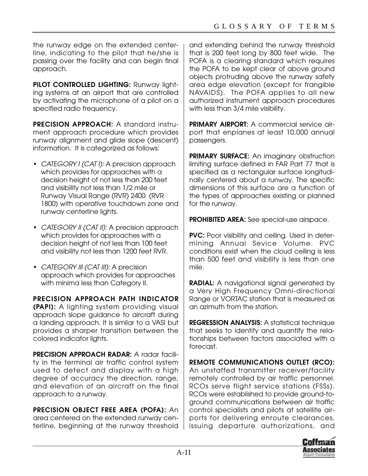the runway edge on the extended centerline, indicating to the pilot that he/she is passing over the facility and can begin final approach.

**PILOT CONTROLLED LIGHTING:** Runway lighting systems at an airport that are controlled by activating the microphone of a pilot on a specified radio frequency.

**PRECISION APPROACH:** A standard instrument approach procedure which provides runway alignment and glide slope (descent) information. It is categorized as follows:

- CATEGORY I (CAT I): A precision approach which provides for approaches with a decision height of not less than 200 feet and visibility not less than 1/2 mile or Runway Visual Range (RVR) 2400 (RVR 1800) with operative touchdown zone and runway centerline lights.
- CATEGORY II (CAT II): A precision approach which provides for approaches with a decision height of not less than 100 feet and visibility not less than 1200 feet RVR.
- CATEGORY III (CAT III): A precision approach which provides for approaches with minima less than Category II.

**PRECISION APPROACH PATH INDICATOR**

**(PAPI):** A lighting system providing visual approach slope guidance to aircraft during a landing approach. It is similar to a VASI but provides a sharper transition between the colored indicator lights.

**PRECISION APPROACH RADAR: A radar facili**ty in the terminal air traffic control system used to detect and display with a high degree of accuracy the direction, range, and elevation of an aircraft on the final approach to a runway.

**PRECISION OBJECT FREE AREA (POFA):** An area centered on the extended runway centerline, beginning at the runway threshold and extending behind the runway threshold that is 200 feet long by 800 feet wide. The POFA is a clearing standard which requires the POFA to be kept clear of above ground objects protruding above the runway safety area edge elevation (except for frangible NAVAIDS). The POFA applies to all new authorized instrument approach procedures with less than 3/4 mile visibility.

**PRIMARY AIRPORT:** A commercial service airport that enplanes at least 10,000 annual passengers.

**PRIMARY SURFACE:** An imaginary obstruction limiting surface defined in FAR Part 77 that is specified as a rectangular surface longitudinally centered about a runway. The specific dimensions of this surface are a function of the types of approaches existing or planned for the runway.

**PROHIBITED AREA:** See special-use airspace.

**PVC:** Poor visibility and ceiling. Used in determining Annual Sevice Volume. PVC conditions exist when the cloud ceiling is less than 500 feet and visibility is less than one mile.

**RADIAL:** A navigational signal generated by a Very High Frequency Omni-directional Range or VORTAC station that is measured as an azimuth from the station.

**REGRESSION ANALYSIS:** A statistical technique that seeks to identify and quantify the relationships between factors associated with a forecast.

**REMOTE COMMUNICATIONS OUTLET (RCO):** An unstaffed transmitter receiver/facility remotely controlled by air traffic personnel. RCOs serve flight service stations (FSSs). RCOs were established to provide ground-toground communications between air traffic control specialists and pilots at satellite airports for delivering enroute clearances, issuing departure authorizations, and

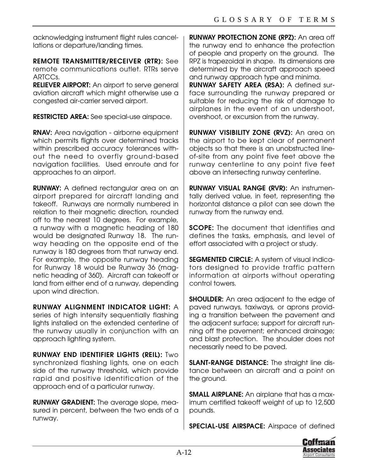acknowledging instrument flight rules cancellations or departure/landing times.

**REMOTE TRANSMITTER/RECEIVER (RTR):** See remote communications outlet. RTRs serve ARTCCs.

**RELIEVER AIRPORT:** An airport to serve general aviation aircraft which might otherwise use a congested air-carrier served airport.

**RESTRICTED AREA:** See special-use airspace.

**RNAV:** Area navigation - airborne equipment which permits flights over determined tracks within prescribed accuracy tolerances without the need to overfly ground-based navigation facilities. Used enroute and for approaches to an airport.

**RUNWAY:** A defined rectangular area on an airport prepared for aircraft landing and takeoff. Runways are normally numbered in relation to their magnetic direction, rounded off to the nearest 10 degrees. For example, a runway with a magnetic heading of 180 would be designated Runway 18. The runway heading on the opposite end of the runway is 180 degrees from that runway end. For example, the opposite runway heading for Runway 18 would be Runway 36 (magnetic heading of 360). Aircraft can takeoff or land from either end of a runway, depending upon wind direction.

**RUNWAY ALIGNMENT INDICATOR LIGHT:** A series of high intensity sequentially flashing lights installed on the extended centerline of the runway usually in conjunction with an approach lighting system.

**RUNWAY END IDENTIFIER LIGHTS (REIL):** Two synchronized flashing lights, one on each side of the runway threshold, which provide rapid and positive identification of the approach end of a particular runway.

**RUNWAY GRADIENT:** The average slope, measured in percent, between the two ends of a runway.

**RUNWAY PROTECTION ZONE (RPZ):** An area off the runway end to enhance the protection of people and property on the ground. The RPZ is trapezoidal in shape. Its dimensions are determined by the aircraft approach speed and runway approach type and minima.

**RUNWAY SAFETY AREA (RSA):** A defined surface surrounding the runway prepared or suitable for reducing the risk of damage to airplanes in the event of an undershoot, overshoot, or excursion from the runway.

**RUNWAY VISIBILITY ZONE (RVZ):** An area on the airport to be kept clear of permanent objects so that there is an unobstructed lineof-site from any point five feet above the runway centerline to any point five feet above an intersecting runway centerline.

**RUNWAY VISUAL RANGE (RVR):** An instrumentally derived value, in feet, representing the horizontal distance a pilot can see down the runway from the runway end.

**SCOPE:** The document that identifies and defines the tasks, emphasis, and level of effort associated with a project or study.

**SEGMENTED CIRCLE:** A system of visual indicators designed to provide traffic pattern information at airports without operating control towers.

**SHOULDER:** An area adjacent to the edge of paved runways, taxiways, or aprons providing a transition between the pavement and the adjacent surface; support for aircraft running off the pavement; enhanced drainage; and blast protection. The shoulder does not necessarily need to be paved.

**SLANT-RANGE DISTANCE:** The straight line distance between an aircraft and a point on the ground.

**SMALL AIRPLANE:** An airplane that has a maximum certified takeoff weight of up to 12,500 pounds.

**SPECIAL-USE AIRSPACE:** Airspace of defined

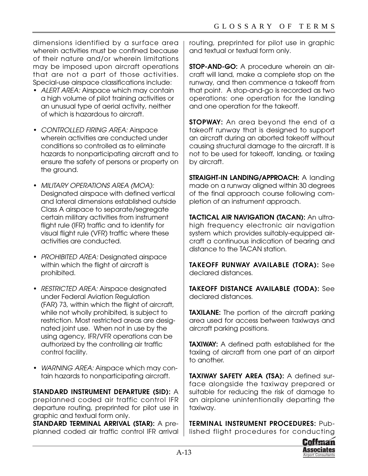dimensions identified by a surface area wherein activities must be confined because of their nature and/or wherein limitations may be imposed upon aircraft operations that are not a part of those activities. Special-use airspace classifications include:

- ALERT AREA: Airspace which may contain a high volume of pilot training activities or an unusual type of aerial activity, neither of which is hazardous to aircraft.
- CONTROLLED FIRING AREA: Airspace wherein activities are conducted under conditions so controlled as to eliminate hazards to nonparticipating aircraft and to ensure the safety of persons or property on the ground.
- MILITARY OPERATIONS AREA (MOA): Designated airspace with defined vertical and lateral dimensions established outside Class A airspace to separate/segregate certain military activities from instrument flight rule (IFR) traffic and to identify for visual flight rule (VFR) traffic where these activities are conducted.
- PROHIBITED AREA: Designated airspace within which the flight of aircraft is prohibited.
- RESTRICTED AREA: Airspace designated under Federal Aviation Regulation (FAR) 73, within which the flight of aircraft, while not wholly prohibited, is subject to restriction. Most restricted areas are designated joint use. When not in use by the using agency, IFR/VFR operations can be authorized by the controlling air traffic control facility.
- WARNING AREA: Airspace which may contain hazards to nonparticipating aircraft.

**STANDARD INSTRUMENT DEPARTURE (SID):** A preplanned coded air traffic control IFR departure routing, preprinted for pilot use in graphic and textual form only.

**STANDARD TERMINAL ARRIVAL (STAR):** A preplanned coded air traffic control IFR arrival routing, preprinted for pilot use in graphic and textual or textual form only.

**STOP-AND-GO:** A procedure wherein an aircraft will land, make a complete stop on the runway, and then commence a takeoff from that point. A stop-and-go is recorded as two operations: one operation for the landing and one operation for the takeoff.

**STOPWAY:** An area beyond the end of a takeoff runway that is designed to support an aircraft during an aborted takeoff without causing structural damage to the aircraft. It is not to be used for takeoff, landing, or taxiing by aircraft.

**STRAIGHT-IN LANDING/APPROACH:** A landing made on a runway aligned within 30 degrees of the final approach course following completion of an instrument approach.

**TACTICAL AIR NAVIGATION (TACAN): An ultra**high frequency electronic air navigation system which provides suitably-equipped aircraft a continuous indication of bearing and distance to the TACAN station.

**TAKEOFF RUNWAY AVAILABLE (TORA):** See declared distances.

**TAKEOFF DISTANCE AVAILABLE (TODA):** See declared distances.

**TAXILANE:** The portion of the aircraft parking area used for access between taxiways and aircraft parking positions.

**TAXIWAY:** A defined path established for the taxiing of aircraft from one part of an airport to another.

**TAXIWAY SAFETY AREA (TSA):** A defined surface alongside the taxiway prepared or suitable for reducing the risk of damage to an airplane unintentionally departing the taxiway.

**TERMINAL INSTRUMENT PROCEDURES:** Published flight procedures for conducting

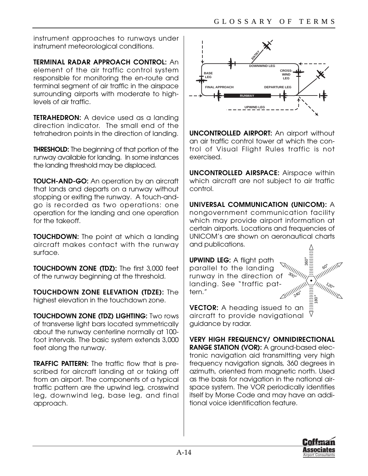instrument approaches to runways under instrument meteorological conditions.

**TERMINAL RADAR APPROACH CONTROL:** An element of the air traffic control system responsible for monitoring the en-route and terminal segment of air traffic in the airspace surrounding airports with moderate to highlevels of air traffic.

**TETRAHEDRON:** A device used as a landing direction indicator. The small end of the tetrahedron points in the direction of landing.

**THRESHOLD:** The beginning of that portion of the runway available for landing. In some instances the landing threshold may be displaced.

**TOUCH-AND-GO:** An operation by an aircraft that lands and departs on a runway without stopping or exiting the runway. A touch-andgo is recorded as two operations: one operation for the landing and one operation for the takeoff.

**TOUCHDOWN:** The point at which a landing aircraft makes contact with the runway surface.

**TOUCHDOWN ZONE (TDZ):** The first 3,000 feet of the runway beginning at the threshold.

**TOUCHDOWN ZONE ELEVATION (TDZE):** The highest elevation in the touchdown zone.

**TOUCHDOWN ZONE (TDZ) LIGHTING:** Two rows of transverse light bars located symmetrically about the runway centerline normally at 100 foot intervals. The basic system extends 3,000 feet along the runway.

**TRAFFIC PATTERN:** The traffic flow that is prescribed for aircraft landing at or taking off from an airport. The components of a typical traffic pattern are the upwind leg, crosswind leg, downwind leg, base leg, and final approach.



**UNCONTROLLED AIRPORT:** An airport without an air traffic control tower at which the control of Visual Flight Rules traffic is not exercised.

**UNCONTROLLED AIRSPACE:** Airspace within which aircraft are not subject to air traffic control.

**UNIVERSAL COMMUNICATION (UNICOM):** A nongovernment communication facility which may provide airport information at certain airports. Locations and frequencies of UNICOM's are shown on aeronautical charts and publications.

**UPWIND LEG:** A flight path parallel to the landing runway in the direction of landing. See "traffic pattern."  $240$  $30<sub>0</sub>$ 

**VECTOR:** A heading issued to an aircraft to provide navigational guidance by radar.

**VERY HIGH FREQUENCY/ OMNIDIRECTIONAL RANGE STATION (VOR):** A ground-based electronic navigation aid transmitting very high frequency navigation signals, 360 degrees in azimuth, oriented from magnetic north. Used as the basis for navigation in the national airspace system. The VOR periodically identifies itself by Morse Code and may have an additional voice identification feature.



.<br>360

 $7 - 20$ 

180 °

 $\bullet$ 

**111111111111111111**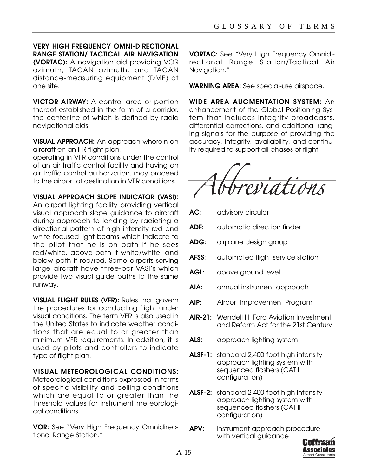**VERY HIGH FREQUENCY OMNI-DIRECTIONAL RANGE STATION/ TACTICAL AIR NAVIGATION (VORTAC):** A navigation aid providing VOR azimuth, TACAN azimuth, and TACAN distance-measuring equipment (DME) at one site.

**VICTOR AIRWAY:** A control area or portion thereof established in the form of a corridor, the centerline of which is defined by radio navigational aids.

**VISUAL APPROACH:** An approach wherein an aircraft on an IFR flight plan,

operating in VFR conditions under the control of an air traffic control facility and having an air traffic control authorization, may proceed to the airport of destination in VFR conditions.

**VISUAL APPROACH SLOPE INDICATOR (VASI):**

An airport lighting facility providing vertical visual approach slope guidance to aircraft during approach to landing by radiating a directional pattern of high intensity red and white focused light beams which indicate to the pilot that he is on path if he sees red/white, above path if white/white, and below path if red/red. Some airports serving large aircraft have three-bar VASI's which provide two visual guide paths to the same runway.

**VISUAL FLIGHT RULES (VFR):** Rules that govern the procedures for conducting flight under visual conditions. The term VFR is also used in the United States to indicate weather conditions that are equal to or greater than minimum VFR requirements. In addition, it is used by pilots and controllers to indicate type of flight plan.

## **VISUAL METEOROLOGICAL CONDITIONS:**

Meteorological conditions expressed in terms of specific visibility and ceiling conditions which are equal to or greater than the threshold values for instrument meteorological conditions.

**VOR:** See "Very High Frequency Omnidirectional Range Station."

**VORTAC:** See "Very High Frequency Omnidirectional Range Station/Tactical Air Navigation."

**WARNING AREA**: See special-use airspace.

**WIDE AREA AUGMENTATION SYSTEM:** An enhancement of the Global Positioning System that includes integrity broadcasts, differential corrections, and additional ranging signals for the purpose of providing the accuracy, integrity, availability, and continuity required to support all phases of flight.



- **AC:** advisory circular
- ADF: automatic direction finder
- **ADG:** airplane design group
- **AFSS:** automated flight service station
- **AGL:** above ground level
- AIA: annual instrument approach
- **AIP:** Airport Improvement Program
- **AIR-21:** Wendell H. Ford Aviation Investment and Reform Act for the 21st Century
- **ALS:** approach lighting system
- **ALSF-1:** standard 2,400-foot high intensity approach lighting system with sequenced flashers (CAT I configuration)
- **ALSF-2:** standard 2,400-foot high intensity approach lighting system with sequenced flashers (CAT II configuration)
- **APV:** instrument approach procedure with vertical guidance

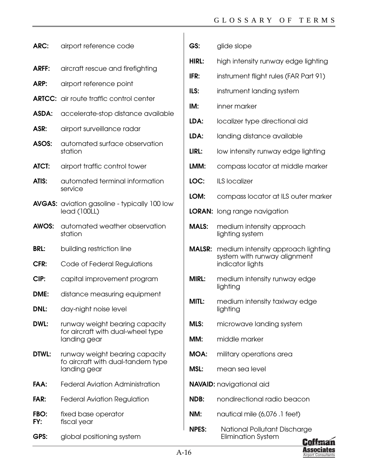**GS:** glide slope

| ARC:         | airport reference code                                                              |
|--------------|-------------------------------------------------------------------------------------|
| <b>ARFF:</b> | aircraft rescue and firefighting                                                    |
| ARP:         | airport reference point                                                             |
|              | <b>ARTCC:</b> air route traffic control center                                      |
| ASDA:        | accelerate-stop distance available                                                  |
| ASR:         | airport surveillance radar                                                          |
| ASOS:        | automated surface observation<br>station                                            |
| <b>ATCT:</b> | airport traffic control tower                                                       |
| ATIS:        | automated terminal information<br>service                                           |
|              | <b>AVGAS:</b> aviation gasoline - typically 100 low<br>lead (100LL)                 |
| AWOS:        | automated weather observation<br>station                                            |
| <b>BRL:</b>  | building restriction line                                                           |
| CFR:         | Code of Federal Regulations                                                         |
| CIP:         | capital improvement program                                                         |
| DME:         | distance measuring equipment                                                        |
| <b>DNL:</b>  | day-night noise level                                                               |
| DWL:         | runway weight bearing capacity<br>for aircraft with dual-wheel type                 |
|              | landing gear                                                                        |
| DTWL:        | runway weight bearing capacity<br>fo aircraft with dual-tandem type<br>landing gear |
| FAA:         | <b>Federal Aviation Administration</b>                                              |
| FAR:         | <b>Federal Aviation Regulation</b>                                                  |
| FBO:<br>FY:  | fixed base operator<br>fiscal year                                                  |

| <b>HIRL:</b>  | high intensity runway edge lighting                                                    |
|---------------|----------------------------------------------------------------------------------------|
| IFR:          | instrument flight rules (FAR Part 91)                                                  |
| ILS:          | instrument landing system                                                              |
| IM:           | inner marker                                                                           |
| LDA:          | localizer type directional aid                                                         |
| LDA:          | landing distance available                                                             |
| LIRL:         | low intensity runway edge lighting                                                     |
| LMM:          | compass locator at middle marker                                                       |
| LOC:          | <b>ILS localizer</b>                                                                   |
| LOM:          | compass locator at ILS outer marker                                                    |
| <b>LORAN:</b> | long range navigation                                                                  |
| <b>MALS:</b>  | medium intensity approach<br>lighting system                                           |
| <b>MALSR:</b> | medium intensity approach lighting<br>system with runway alignment<br>indicator lights |
| <b>MIRL:</b>  | medium intensity runway edge<br>lighting                                               |
| MITL:         | medium intensity taxiway edge<br>lighting                                              |
| MI S∙         | microwave landing system                                                               |
| MM:           | middle marker                                                                          |
|               | <b>MOA:</b> military operations area                                                   |
| MSL:          | mean sea level                                                                         |
|               | <b>NAVAID:</b> navigational aid                                                        |
| NDB:          | nondirectional radio beacon                                                            |
| NM:           | nautical mile (6,076 .1 feet)                                                          |

**NPES:** National Pollutant Discharge Elimination System